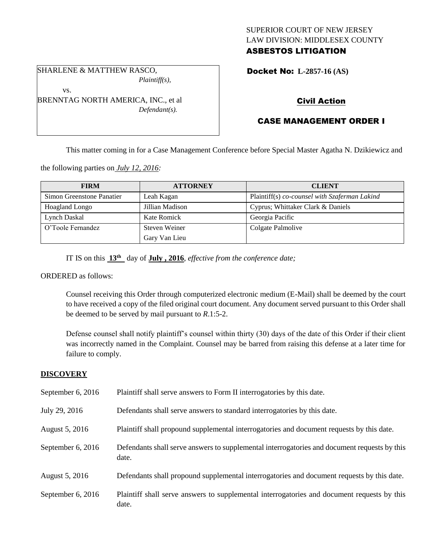# SUPERIOR COURT OF NEW JERSEY LAW DIVISION: MIDDLESEX COUNTY

# ASBESTOS LITIGATION

SHARLENE & MATTHEW RASCO, *Plaintiff(s),*

vs.

BRENNTAG NORTH AMERICA, INC., et al *Defendant(s).*

Docket No: **L-2857-16 (AS)** 

## Civil Action

## CASE MANAGEMENT ORDER I

This matter coming in for a Case Management Conference before Special Master Agatha N. Dzikiewicz and

the following parties on *July 12, 2016:*

| <b>FIRM</b>               | <b>ATTORNEY</b>    | <b>CLIENT</b>                                 |
|---------------------------|--------------------|-----------------------------------------------|
| Simon Greenstone Panatier | Leah Kagan         | Plaintiff(s) co-counsel with Szaferman Lakind |
| Hoagland Longo            | Jillian Madison    | Cyprus; Whittaker Clark & Daniels             |
| Lynch Daskal              | <b>Kate Romick</b> | Georgia Pacific                               |
| O'Toole Fernandez         | Steven Weiner      | Colgate Palmolive                             |
|                           | Gary Van Lieu      |                                               |

IT IS on this **13th** day of **July , 2016**, *effective from the conference date;*

ORDERED as follows:

Counsel receiving this Order through computerized electronic medium (E-Mail) shall be deemed by the court to have received a copy of the filed original court document. Any document served pursuant to this Order shall be deemed to be served by mail pursuant to *R*.1:5-2.

Defense counsel shall notify plaintiff's counsel within thirty (30) days of the date of this Order if their client was incorrectly named in the Complaint. Counsel may be barred from raising this defense at a later time for failure to comply.

## **DISCOVERY**

| September 6, 2016   | Plaintiff shall serve answers to Form II interrogatories by this date.                                |
|---------------------|-------------------------------------------------------------------------------------------------------|
| July 29, 2016       | Defendants shall serve answers to standard interrogatories by this date.                              |
| August 5, 2016      | Plaintiff shall propound supplemental interrogatories and document requests by this date.             |
| September $6, 2016$ | Defendants shall serve answers to supplemental interrogatories and document requests by this<br>date. |
| August 5, 2016      | Defendants shall propound supplemental interrogatories and document requests by this date.            |
| September 6, 2016   | Plaintiff shall serve answers to supplemental interrogatories and document requests by this<br>date.  |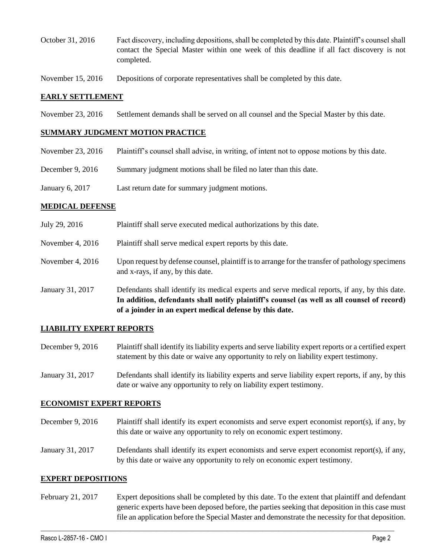- October 31, 2016 Fact discovery, including depositions, shall be completed by this date. Plaintiff's counsel shall contact the Special Master within one week of this deadline if all fact discovery is not completed.
- November 15, 2016 Depositions of corporate representatives shall be completed by this date.

### **EARLY SETTLEMENT**

November 23, 2016 Settlement demands shall be served on all counsel and the Special Master by this date.

#### **SUMMARY JUDGMENT MOTION PRACTICE**

- November 23, 2016 Plaintiff's counsel shall advise, in writing, of intent not to oppose motions by this date.
- December 9, 2016 Summary judgment motions shall be filed no later than this date.
- January 6, 2017 Last return date for summary judgment motions.

#### **MEDICAL DEFENSE**

July 29, 2016 Plaintiff shall serve executed medical authorizations by this date. November 4, 2016 Plaintiff shall serve medical expert reports by this date. November 4, 2016 Upon request by defense counsel, plaintiff is to arrange for the transfer of pathology specimens and x-rays, if any, by this date. January 31, 2017 Defendants shall identify its medical experts and serve medical reports, if any, by this date. **In addition, defendants shall notify plaintiff's counsel (as well as all counsel of record) of a joinder in an expert medical defense by this date.**

## **LIABILITY EXPERT REPORTS**

- December 9, 2016 Plaintiff shall identify its liability experts and serve liability expert reports or a certified expert statement by this date or waive any opportunity to rely on liability expert testimony.
- January 31, 2017 Defendants shall identify its liability experts and serve liability expert reports, if any, by this date or waive any opportunity to rely on liability expert testimony.

#### **ECONOMIST EXPERT REPORTS**

- December 9, 2016 Plaintiff shall identify its expert economists and serve expert economist report(s), if any, by this date or waive any opportunity to rely on economic expert testimony.
- January 31, 2017 Defendants shall identify its expert economists and serve expert economist report(s), if any, by this date or waive any opportunity to rely on economic expert testimony.

#### **EXPERT DEPOSITIONS**

February 21, 2017 Expert depositions shall be completed by this date. To the extent that plaintiff and defendant generic experts have been deposed before, the parties seeking that deposition in this case must file an application before the Special Master and demonstrate the necessity for that deposition.

 $\_$  , and the set of the set of the set of the set of the set of the set of the set of the set of the set of the set of the set of the set of the set of the set of the set of the set of the set of the set of the set of th